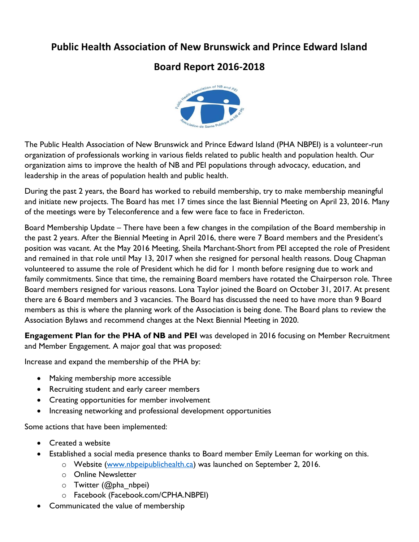## **Public Health Association of New Brunswick and Prince Edward Island**

# **Board Report 2016-2018**



The Public Health Association of New Brunswick and Prince Edward Island (PHA NBPEI) is a volunteer-run organization of professionals working in various fields related to public health and population health. Our organization aims to improve the health of NB and PEI populations through advocacy, education, and leadership in the areas of population health and public health.

During the past 2 years, the Board has worked to rebuild membership, try to make membership meaningful and initiate new projects. The Board has met 17 times since the last Biennial Meeting on April 23, 2016. Many of the meetings were by Teleconference and a few were face to face in Fredericton.

Board Membership Update – There have been a few changes in the compilation of the Board membership in the past 2 years. After the Biennial Meeting in April 2016, there were 7 Board members and the President's position was vacant. At the May 2016 Meeting, Sheila Marchant-Short from PEI accepted the role of President and remained in that role until May 13, 2017 when she resigned for personal health reasons. Doug Chapman volunteered to assume the role of President which he did for 1 month before resigning due to work and family commitments. Since that time, the remaining Board members have rotated the Chairperson role. Three Board members resigned for various reasons. Lona Taylor joined the Board on October 31, 2017. At present there are 6 Board members and 3 vacancies. The Board has discussed the need to have more than 9 Board members as this is where the planning work of the Association is being done. The Board plans to review the Association Bylaws and recommend changes at the Next Biennial Meeting in 2020.

**Engagement Plan for the PHA of NB and PEI** was developed in 2016 focusing on Member Recruitment and Member Engagement. A major goal that was proposed:

Increase and expand the membership of the PHA by:

- Making membership more accessible
- Recruiting student and early career members
- Creating opportunities for member involvement
- Increasing networking and professional development opportunities

Some actions that have been implemented:

- Created a website
- Established a social media presence thanks to Board member Emily Leeman for working on this.
	- o Website [\(www.nbpeipublichealth.ca\)](http://www.nbpeipublichealth.ca/) was launched on September 2, 2016.
	- o Online Newsletter
	- $\circ$  Twitter (@pha\_nbpei)
	- o Facebook (Facebook.com/CPHA.NBPEI)
- Communicated the value of membership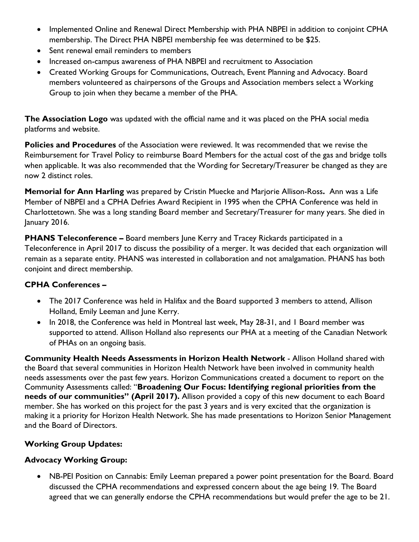- Implemented Online and Renewal Direct Membership with PHA NBPEI in addition to conjoint CPHA membership. The Direct PHA NBPEI membership fee was determined to be \$25.
- Sent renewal email reminders to members
- Increased on-campus awareness of PHA NBPEI and recruitment to Association
- Created Working Groups for Communications, Outreach, Event Planning and Advocacy. Board members volunteered as chairpersons of the Groups and Association members select a Working Group to join when they became a member of the PHA.

**The Association Logo** was updated with the official name and it was placed on the PHA social media platforms and website.

**Policies and Procedures** of the Association were reviewed. It was recommended that we revise the Reimbursement for Travel Policy to reimburse Board Members for the actual cost of the gas and bridge tolls when applicable. It was also recommended that the Wording for Secretary/Treasurer be changed as they are now 2 distinct roles.

**Memorial for Ann Harling** was prepared by Cristin Muecke and Marjorie Allison-Ross**.** Ann was a Life Member of NBPEI and a CPHA Defries Award Recipient in 1995 when the CPHA Conference was held in Charlottetown. She was a long standing Board member and Secretary/Treasurer for many years. She died in January 2016.

**PHANS Teleconference –** Board members June Kerry and Tracey Rickards participated in a Teleconference in April 2017 to discuss the possibility of a merger. It was decided that each organization will remain as a separate entity. PHANS was interested in collaboration and not amalgamation. PHANS has both conjoint and direct membership.

## **CPHA Conferences –**

- The 2017 Conference was held in Halifax and the Board supported 3 members to attend, Allison Holland, Emily Leeman and June Kerry.
- In 2018, the Conference was held in Montreal last week, May 28-31, and 1 Board member was supported to attend. Allison Holland also represents our PHA at a meeting of the Canadian Network of PHAs on an ongoing basis.

**Community Health Needs Assessments in Horizon Health Network** - Allison Holland shared with the Board that several communities in Horizon Health Network have been involved in community health needs assessments over the past few years. Horizon Communications created a document to report on the Community Assessments called: "**Broadening Our Focus: Identifying regional priorities from the needs of our communities" (April 2017).** Allison provided a copy of this new document to each Board member. She has worked on this project for the past 3 years and is very excited that the organization is making it a priority for Horizon Health Network. She has made presentations to Horizon Senior Management and the Board of Directors.

## **Working Group Updates:**

## **Advocacy Working Group:**

 NB-PEI Position on Cannabis: Emily Leeman prepared a power point presentation for the Board. Board discussed the CPHA recommendations and expressed concern about the age being 19. The Board agreed that we can generally endorse the CPHA recommendations but would prefer the age to be 21.